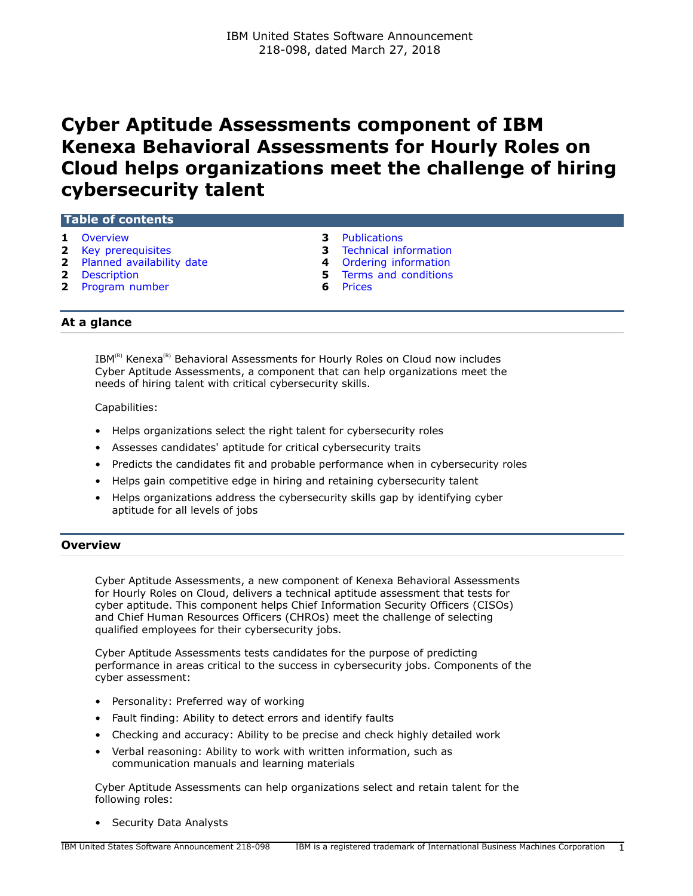# **Cyber Aptitude Assessments component of IBM Kenexa Behavioral Assessments for Hourly Roles on Cloud helps organizations meet the challenge of hiring cybersecurity talent**

## **Table of contents**

- 
- 
- **2** [Planned availability date](#page-1-1) **4** [Ordering information](#page-3-0)
- 
- **2** [Program number](#page-1-3) **6** [Prices](#page-5-0)

# **1** [Overview](#page-0-0) **3** [Publications](#page-2-0)

- **2** [Key prerequisites](#page-1-0) **3** [Technical information](#page-2-1)
	-
- **2** [Description](#page-1-2) **5** [Terms and conditions](#page-4-0)
	-

## **At a glance**

IBM<sup>(R)</sup> Kenexa<sup>(R)</sup> Behavioral Assessments for Hourly Roles on Cloud now includes Cyber Aptitude Assessments, a component that can help organizations meet the needs of hiring talent with critical cybersecurity skills.

## Capabilities:

- Helps organizations select the right talent for cybersecurity roles
- Assesses candidates' aptitude for critical cybersecurity traits
- Predicts the candidates fit and probable performance when in cybersecurity roles
- Helps gain competitive edge in hiring and retaining cybersecurity talent
- Helps organizations address the cybersecurity skills gap by identifying cyber aptitude for all levels of jobs

## <span id="page-0-0"></span>**Overview**

Cyber Aptitude Assessments, a new component of Kenexa Behavioral Assessments for Hourly Roles on Cloud, delivers a technical aptitude assessment that tests for cyber aptitude. This component helps Chief Information Security Officers (CISOs) and Chief Human Resources Officers (CHROs) meet the challenge of selecting qualified employees for their cybersecurity jobs.

Cyber Aptitude Assessments tests candidates for the purpose of predicting performance in areas critical to the success in cybersecurity jobs. Components of the cyber assessment:

- Personality: Preferred way of working
- Fault finding: Ability to detect errors and identify faults
- Checking and accuracy: Ability to be precise and check highly detailed work
- Verbal reasoning: Ability to work with written information, such as communication manuals and learning materials

Cyber Aptitude Assessments can help organizations select and retain talent for the following roles:

• Security Data Analysts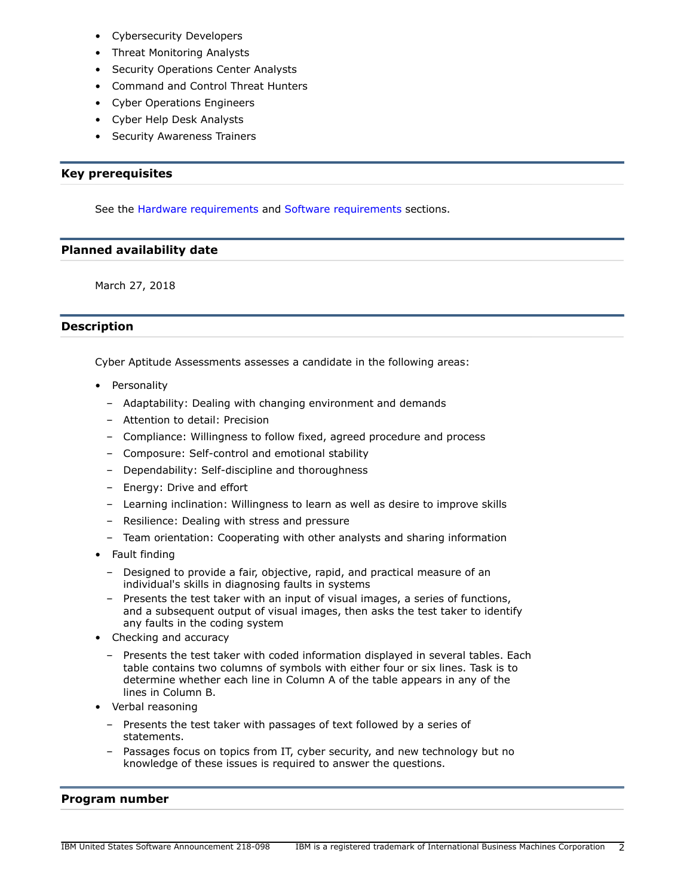- Cybersecurity Developers
- Threat Monitoring Analysts
- Security Operations Center Analysts
- Command and Control Threat Hunters
- Cyber Operations Engineers
- Cyber Help Desk Analysts
- Security Awareness Trainers

# <span id="page-1-0"></span>**Key prerequisites**

See the [Hardware requirements](#page-2-2) and [Software requirements](#page-2-3) sections.

## <span id="page-1-1"></span>**Planned availability date**

March 27, 2018

# <span id="page-1-2"></span>**Description**

Cyber Aptitude Assessments assesses a candidate in the following areas:

- Personality
	- Adaptability: Dealing with changing environment and demands
	- Attention to detail: Precision
	- Compliance: Willingness to follow fixed, agreed procedure and process
	- Composure: Self-control and emotional stability
	- Dependability: Self-discipline and thoroughness
	- Energy: Drive and effort
	- Learning inclination: Willingness to learn as well as desire to improve skills
	- Resilience: Dealing with stress and pressure
	- Team orientation: Cooperating with other analysts and sharing information
- Fault finding
	- Designed to provide a fair, objective, rapid, and practical measure of an individual's skills in diagnosing faults in systems
	- Presents the test taker with an input of visual images, a series of functions, and a subsequent output of visual images, then asks the test taker to identify any faults in the coding system
- Checking and accuracy
	- Presents the test taker with coded information displayed in several tables. Each table contains two columns of symbols with either four or six lines. Task is to determine whether each line in Column A of the table appears in any of the lines in Column B.
- Verbal reasoning
	- Presents the test taker with passages of text followed by a series of statements.
	- Passages focus on topics from IT, cyber security, and new technology but no knowledge of these issues is required to answer the questions.

## <span id="page-1-3"></span>**Program number**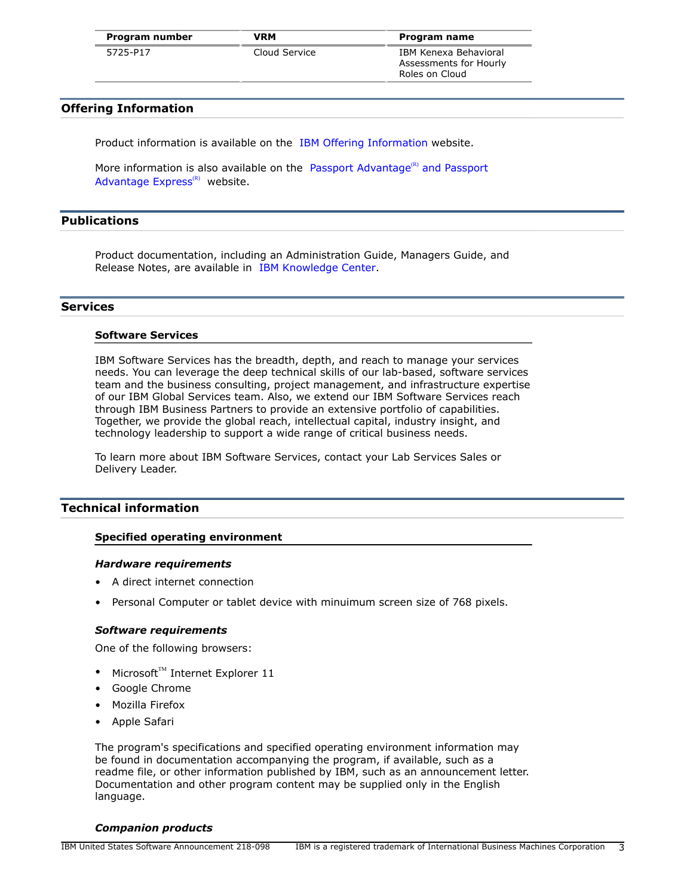| Program number | <b>VRM</b>    | Program name           |
|----------------|---------------|------------------------|
| 5725-P17       | Cloud Service | IBM Kenexa Behavioral  |
|                |               | Assessments for Hourly |

Roles on Cloud

## **Offering Information**

Product information is available on the [IBM Offering Information](http://www.ibm.com/common/ssi) website.

More information is also available on the [Passport Advantage](http://www.ibm.com/software/passportadvantage) $<sup>(R)</sup>$  and Passport</sup> Advantage  $Express<sup>(R)</sup>$  website.

# <span id="page-2-0"></span>**Publications**

Product documentation, including an Administration Guide, Managers Guide, and Release Notes, are available in [IBM Knowledge Center](https://www.ibm.com/support/knowledgecenter/SSDLQA/welcome/kc_welcome_assess.html).

## **Services**

#### **Software Services**

IBM Software Services has the breadth, depth, and reach to manage your services needs. You can leverage the deep technical skills of our lab-based, software services team and the business consulting, project management, and infrastructure expertise of our IBM Global Services team. Also, we extend our IBM Software Services reach through IBM Business Partners to provide an extensive portfolio of capabilities. Together, we provide the global reach, intellectual capital, industry insight, and technology leadership to support a wide range of critical business needs.

To learn more about IBM Software Services, contact your Lab Services Sales or Delivery Leader.

## <span id="page-2-1"></span>**Technical information**

#### **Specified operating environment**

#### <span id="page-2-2"></span>*Hardware requirements*

- A direct internet connection
- Personal Computer or tablet device with minuimum screen size of 768 pixels.

#### <span id="page-2-3"></span>*Software requirements*

One of the following browsers:

- Microsoft™ Internet Explorer 11
- Google Chrome
- Mozilla Firefox
- Apple Safari

The program's specifications and specified operating environment information may be found in documentation accompanying the program, if available, such as a readme file, or other information published by IBM, such as an announcement letter. Documentation and other program content may be supplied only in the English language.

#### *Companion products*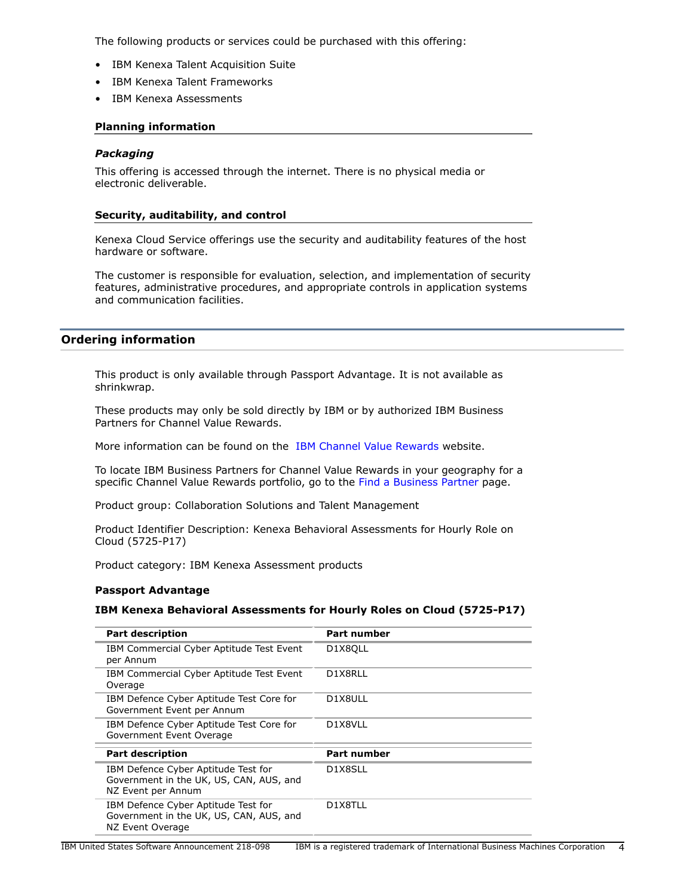The following products or services could be purchased with this offering:

- IBM Kenexa Talent Acquisition Suite
- IBM Kenexa Talent Frameworks
- IBM Kenexa Assessments

## **Planning information**

## *Packaging*

This offering is accessed through the internet. There is no physical media or electronic deliverable.

## **Security, auditability, and control**

Kenexa Cloud Service offerings use the security and auditability features of the host hardware or software.

The customer is responsible for evaluation, selection, and implementation of security features, administrative procedures, and appropriate controls in application systems and communication facilities.

# <span id="page-3-0"></span>**Ordering information**

This product is only available through Passport Advantage. It is not available as shrinkwrap.

These products may only be sold directly by IBM or by authorized IBM Business Partners for Channel Value Rewards.

More information can be found on the [IBM Channel Value Rewards](http://www.ibm.com/partnerworld/page/svp_authorized_portfolio) website.

To locate IBM Business Partners for Channel Value Rewards in your geography for a specific Channel Value Rewards portfolio, go to the [Find a Business Partner](http://www.ibm.com/partnerworld/wps/bplocator/) page.

Product group: Collaboration Solutions and Talent Management

Product Identifier Description: Kenexa Behavioral Assessments for Hourly Role on Cloud (5725-P17)

Product category: IBM Kenexa Assessment products

## **Passport Advantage**

## **IBM Kenexa Behavioral Assessments for Hourly Roles on Cloud (5725-P17)**

| <b>Part description</b>                                                                              | <b>Part number</b> |
|------------------------------------------------------------------------------------------------------|--------------------|
| IBM Commercial Cyber Aptitude Test Event<br>per Annum                                                | D1X8OLL            |
| IBM Commercial Cyber Aptitude Test Event<br>Overage                                                  | D1X8RLL            |
| IBM Defence Cyber Aptitude Test Core for<br>Government Event per Annum                               | D1X8ULL            |
| IBM Defence Cyber Aptitude Test Core for<br>Government Event Overage                                 | D1X8VLL            |
| <b>Part description</b>                                                                              | <b>Part number</b> |
| IBM Defence Cyber Aptitude Test for<br>Government in the UK, US, CAN, AUS, and<br>NZ Event per Annum | D1X8SLL            |
| IBM Defence Cyber Aptitude Test for<br>Government in the UK, US, CAN, AUS, and<br>NZ Event Overage   | D1X8TLL            |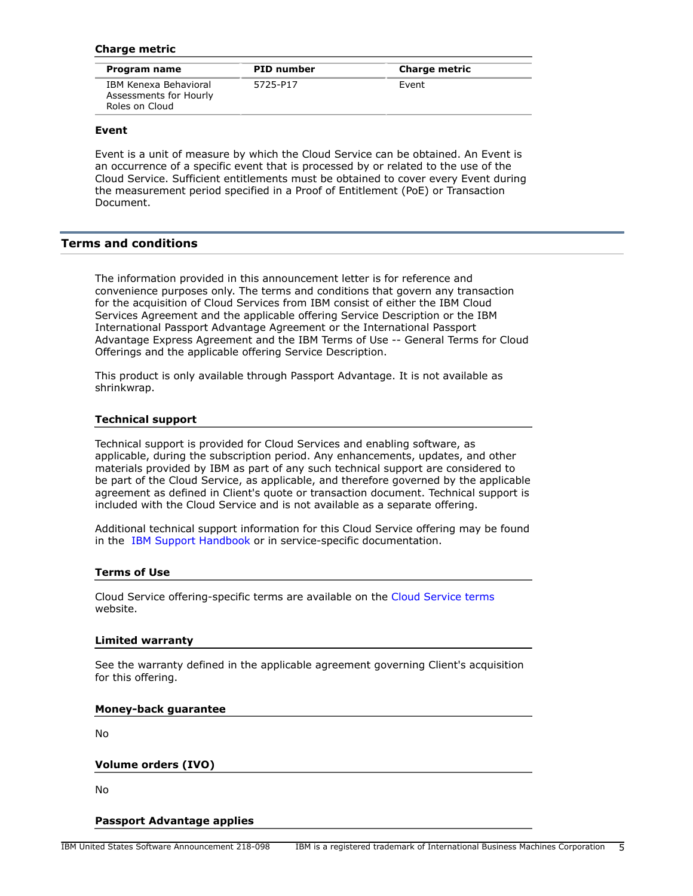## **Charge metric**

| Program name                                                      | <b>PID</b> number | <b>Charge metric</b> |
|-------------------------------------------------------------------|-------------------|----------------------|
| IBM Kenexa Behavioral<br>Assessments for Hourly<br>Roles on Cloud | 5725-P17          | Event                |

## **Event**

Event is a unit of measure by which the Cloud Service can be obtained. An Event is an occurrence of a specific event that is processed by or related to the use of the Cloud Service. Sufficient entitlements must be obtained to cover every Event during the measurement period specified in a Proof of Entitlement (PoE) or Transaction Document.

## <span id="page-4-0"></span>**Terms and conditions**

The information provided in this announcement letter is for reference and convenience purposes only. The terms and conditions that govern any transaction for the acquisition of Cloud Services from IBM consist of either the IBM Cloud Services Agreement and the applicable offering Service Description or the IBM International Passport Advantage Agreement or the International Passport Advantage Express Agreement and the IBM Terms of Use -- General Terms for Cloud Offerings and the applicable offering Service Description.

This product is only available through Passport Advantage. It is not available as shrinkwrap.

#### **Technical support**

Technical support is provided for Cloud Services and enabling software, as applicable, during the subscription period. Any enhancements, updates, and other materials provided by IBM as part of any such technical support are considered to be part of the Cloud Service, as applicable, and therefore governed by the applicable agreement as defined in Client's quote or transaction document. Technical support is included with the Cloud Service and is not available as a separate offering.

Additional technical support information for this Cloud Service offering may be found in the [IBM Support Handbook](https://www.ibm.com/software/support/handbook.html) or in service-specific documentation.

#### **Terms of Use**

Cloud Service offering-specific terms are available on the [Cloud Service terms](http://www.ibm.com/software/sla/sladb.nsf/sla/saas) website.

#### **Limited warranty**

See the warranty defined in the applicable agreement governing Client's acquisition for this offering.

## **Money-back guarantee**

No

#### **Volume orders (IVO)**

No

#### **Passport Advantage applies**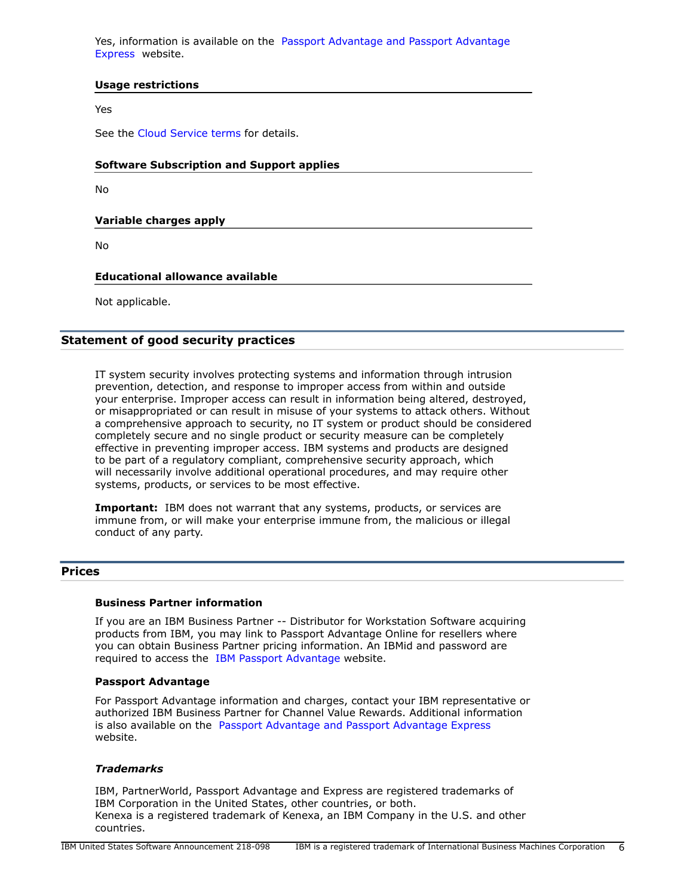Yes, information is available on the [Passport Advantage and Passport Advantage](http://www.ibm.com/software/passportadvantage) [Express](http://www.ibm.com/software/passportadvantage) website.

## **Usage restrictions**

Yes

See the [Cloud Service terms](http://www.ibm.com/software/sla/sladb.nsf/sla/saas) for details.

## **Software Subscription and Support applies**

No

**Variable charges apply**

No

## **Educational allowance available**

Not applicable.

## **Statement of good security practices**

IT system security involves protecting systems and information through intrusion prevention, detection, and response to improper access from within and outside your enterprise. Improper access can result in information being altered, destroyed, or misappropriated or can result in misuse of your systems to attack others. Without a comprehensive approach to security, no IT system or product should be considered completely secure and no single product or security measure can be completely effective in preventing improper access. IBM systems and products are designed to be part of a regulatory compliant, comprehensive security approach, which will necessarily involve additional operational procedures, and may require other systems, products, or services to be most effective.

**Important:** IBM does not warrant that any systems, products, or services are immune from, or will make your enterprise immune from, the malicious or illegal conduct of any party.

## <span id="page-5-0"></span>**Prices**

## **Business Partner information**

If you are an IBM Business Partner -- Distributor for Workstation Software acquiring products from IBM, you may link to Passport Advantage Online for resellers where you can obtain Business Partner pricing information. An IBMid and password are required to access the [IBM Passport Advantage w](https://www.ibm.com/software/howtobuy/passportadvantage/paoreseller)ebsite.

#### **Passport Advantage**

For Passport Advantage information and charges, contact your IBM representative or authorized IBM Business Partner for Channel Value Rewards. Additional information is also available on the [Passport Advantage and Passport Advantage Express](http://www.ibm.com/software/passportadvantage)  website.

## *Trademarks*

IBM, PartnerWorld, Passport Advantage and Express are registered trademarks of IBM Corporation in the United States, other countries, or both. Kenexa is a registered trademark of Kenexa, an IBM Company in the U.S. and other countries.